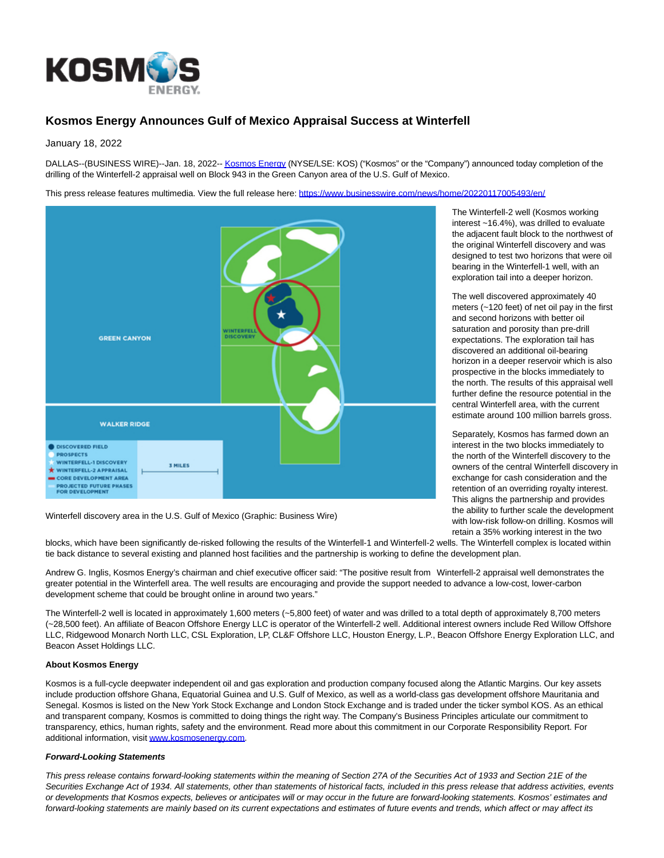

## **Kosmos Energy Announces Gulf of Mexico Appraisal Success at Winterfell**

January 18, 2022

DALLAS--(BUSINESS WIRE)--Jan. 18, 2022-[- Kosmos Energy \(](https://cts.businesswire.com/ct/CT?id=smartlink&url=http%3A%2F%2Fwww.kosmosenergy.com%2F&esheet=52563845&newsitemid=20220117005493&lan=en-US&anchor=Kosmos+Energy&index=1&md5=ba90621d5b6a6921684d128a14bbe8ce)NYSE/LSE: KOS) ("Kosmos" or the "Company") announced today completion of the drilling of the Winterfell-2 appraisal well on Block 943 in the Green Canyon area of the U.S. Gulf of Mexico.

This press release features multimedia. View the full release here:<https://www.businesswire.com/news/home/20220117005493/en/>



Winterfell discovery area in the U.S. Gulf of Mexico (Graphic: Business Wire)

blocks, which have been significantly de-risked following the results of the Winterfell-1 and Winterfell-2 wells. The Winterfell complex is located within tie back distance to several existing and planned host facilities and the partnership is working to define the development plan.

Andrew G. Inglis, Kosmos Energy's chairman and chief executive officer said: "The positive result from Winterfell-2 appraisal well demonstrates the greater potential in the Winterfell area. The well results are encouraging and provide the support needed to advance a low-cost, lower-carbon development scheme that could be brought online in around two years.'

The Winterfell-2 well is located in approximately 1,600 meters (~5,800 feet) of water and was drilled to a total depth of approximately 8,700 meters (~28,500 feet). An affiliate of Beacon Offshore Energy LLC is operator of the Winterfell-2 well. Additional interest owners include Red Willow Offshore LLC, Ridgewood Monarch North LLC, CSL Exploration, LP, CL&F Offshore LLC, Houston Energy, L.P., Beacon Offshore Energy Exploration LLC, and Beacon Asset Holdings LLC.

## **About Kosmos Energy**

Kosmos is a full-cycle deepwater independent oil and gas exploration and production company focused along the Atlantic Margins. Our key assets include production offshore Ghana, Equatorial Guinea and U.S. Gulf of Mexico, as well as a world-class gas development offshore Mauritania and Senegal. Kosmos is listed on the New York Stock Exchange and London Stock Exchange and is traded under the ticker symbol KOS. As an ethical and transparent company, Kosmos is committed to doing things the right way. The Company's Business Principles articulate our commitment to transparency, ethics, human rights, safety and the environment. Read more about this commitment in our Corporate Responsibility Report. For additional information, visit [www.kosmosenergy.com.](https://cts.businesswire.com/ct/CT?id=smartlink&url=http%3A%2F%2Fwww.kosmosenergy.com&esheet=52563845&newsitemid=20220117005493&lan=en-US&anchor=www.kosmosenergy.com&index=2&md5=1d9d51fd9d4d9020c43949dfa376538a)

## **Forward-Looking Statements**

This press release contains forward-looking statements within the meaning of Section 27A of the Securities Act of 1933 and Section 21E of the Securities Exchange Act of 1934. All statements, other than statements of historical facts, included in this press release that address activities, events or developments that Kosmos expects, believes or anticipates will or may occur in the future are forward-looking statements. Kosmos' estimates and forward-looking statements are mainly based on its current expectations and estimates of future events and trends, which affect or may affect its

The Winterfell-2 well (Kosmos working interest ~16.4%), was drilled to evaluate the adjacent fault block to the northwest of the original Winterfell discovery and was designed to test two horizons that were oil bearing in the Winterfell-1 well, with an exploration tail into a deeper horizon.

The well discovered approximately 40 meters (~120 feet) of net oil pay in the first and second horizons with better oil saturation and porosity than pre-drill expectations. The exploration tail has discovered an additional oil-bearing horizon in a deeper reservoir which is also prospective in the blocks immediately to the north. The results of this appraisal well further define the resource potential in the central Winterfell area, with the current estimate around 100 million barrels gross.

Separately, Kosmos has farmed down an interest in the two blocks immediately to the north of the Winterfell discovery to the owners of the central Winterfell discovery in exchange for cash consideration and the retention of an overriding royalty interest. This aligns the partnership and provides the ability to further scale the development with low-risk follow-on drilling. Kosmos will retain a 35% working interest in the two